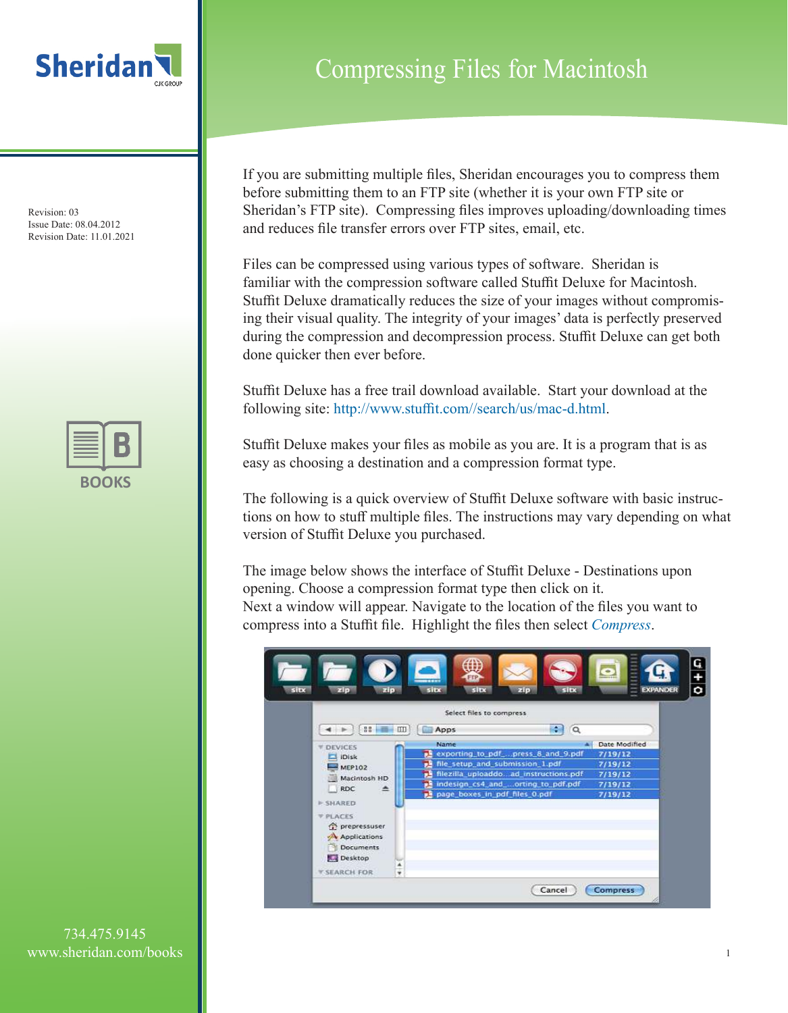

Revision: 03 Issue Date: 08.04.2012 Revision Date: 11.01.2021



## Compressing Files for Macintosh

If you are submitting multiple files, Sheridan encourages you to compress them before submitting them to an FTP site (whether it is your own FTP site or Sheridan's FTP site). Compressing files improves uploading/downloading times and reduces file transfer errors over FTP sites, email, etc.

Files can be compressed using various types of software. Sheridan is familiar with the compression software called Stuffit Deluxe for Macintosh. Stuffit Deluxe dramatically reduces the size of your images without compromising their visual quality. The integrity of your images' data is perfectly preserved during the compression and decompression process. Stuffit Deluxe can get both done quicker then ever before.

Stuffit Deluxe has a free trail download available. Start your download at the following site: http://www.stuffit.com//search/us/mac-d.html.

Stuffit Deluxe makes your files as mobile as you are. It is a program that is as easy as choosing a destination and a compression format type.

The following is a quick overview of Stuffit Deluxe software with basic instructions on how to stuff multiple files. The instructions may vary depending on what version of Stuffit Deluxe you purchased.

The image below shows the interface of Stuffit Deluxe - Destinations upon opening. Choose a compression format type then click on it. Next a window will appear. Navigate to the location of the files you want to compress into a Stuffit file. Highlight the files then select *Compress*.